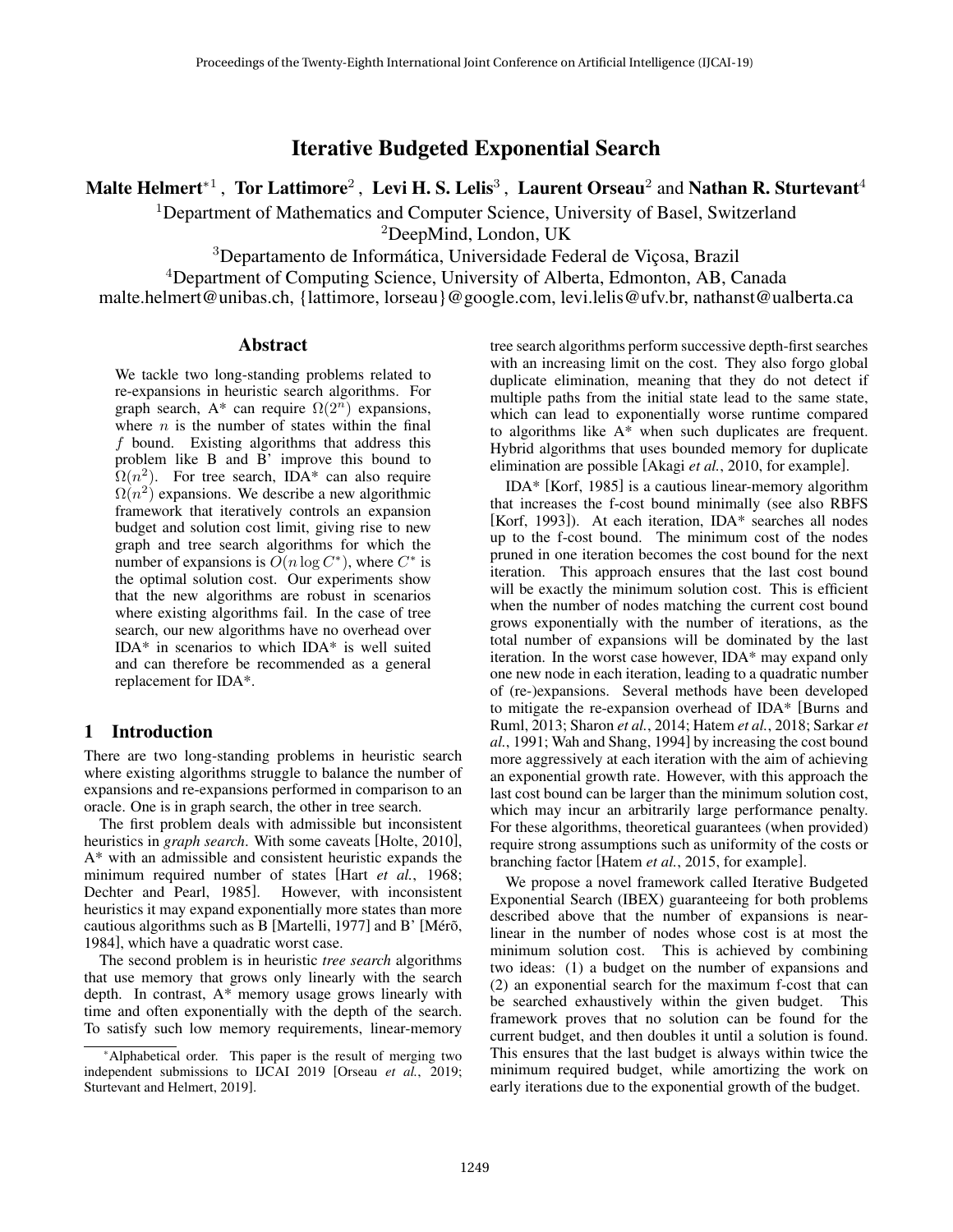Iterative Budgeted Exponential Search

Malte Helmert $^{\ast\text{1}}$  , Tor Lattimore $^2$  , Levi H. S. Lelis $^3$  , Laurent Orseau $^2$  and Nathan R. Sturtevant $^4$ 

<sup>1</sup>Department of Mathematics and Computer Science, University of Basel, Switzerland

<sup>2</sup>DeepMind, London, UK

<sup>3</sup>Departamento de Informática, Universidade Federal de Viçosa, Brazil

<sup>4</sup>Department of Computing Science, University of Alberta, Edmonton, AB, Canada

malte.helmert@unibas.ch, {lattimore, lorseau}@google.com, levi.lelis@ufv.br, nathanst@ualberta.ca

#### **Abstract**

We tackle two long-standing problems related to re-expansions in heuristic search algorithms. For graph search, A\* can require  $\Omega(2^n)$  expansions, where  $n$  is the number of states within the final f bound. Existing algorithms that address this problem like B and B' improve this bound to  $\Omega(n^2)$ . For tree search, IDA\* can also require  $\Omega(n^2)$  expansions. We describe a new algorithmic framework that iteratively controls an expansion budget and solution cost limit, giving rise to new graph and tree search algorithms for which the number of expansions is  $O(n \log C^*)$ , where  $C^*$  is the optimal solution cost. Our experiments show that the new algorithms are robust in scenarios where existing algorithms fail. In the case of tree search, our new algorithms have no overhead over IDA\* in scenarios to which IDA\* is well suited and can therefore be recommended as a general replacement for IDA\*.

## 1 Introduction

There are two long-standing problems in heuristic search where existing algorithms struggle to balance the number of expansions and re-expansions performed in comparison to an oracle. One is in graph search, the other in tree search.

The first problem deals with admissible but inconsistent heuristics in *graph search*. With some caveats [Holte, 2010], A\* with an admissible and consistent heuristic expands the minimum required number of states [Hart *et al.*, 1968; Dechter and Pearl, 1985]. However, with inconsistent heuristics it may expand exponentially more states than more cautious algorithms such as B [Martelli, 1977] and B' [Mérõ, 1984], which have a quadratic worst case.

The second problem is in heuristic *tree search* algorithms that use memory that grows only linearly with the search depth. In contrast, A\* memory usage grows linearly with time and often exponentially with the depth of the search. To satisfy such low memory requirements, linear-memory tree search algorithms perform successive depth-first searches with an increasing limit on the cost. They also forgo global duplicate elimination, meaning that they do not detect if multiple paths from the initial state lead to the same state, which can lead to exponentially worse runtime compared to algorithms like A\* when such duplicates are frequent. Hybrid algorithms that uses bounded memory for duplicate elimination are possible [Akagi *et al.*, 2010, for example].

IDA\* [Korf, 1985] is a cautious linear-memory algorithm that increases the f-cost bound minimally (see also RBFS [Korf, 1993]). At each iteration, IDA\* searches all nodes up to the f-cost bound. The minimum cost of the nodes pruned in one iteration becomes the cost bound for the next iteration. This approach ensures that the last cost bound will be exactly the minimum solution cost. This is efficient when the number of nodes matching the current cost bound grows exponentially with the number of iterations, as the total number of expansions will be dominated by the last iteration. In the worst case however, IDA\* may expand only one new node in each iteration, leading to a quadratic number of (re-)expansions. Several methods have been developed to mitigate the re-expansion overhead of IDA\* [Burns and Ruml, 2013; Sharon *et al.*, 2014; Hatem *et al.*, 2018; Sarkar *et al.*, 1991; Wah and Shang, 1994] by increasing the cost bound more aggressively at each iteration with the aim of achieving an exponential growth rate. However, with this approach the last cost bound can be larger than the minimum solution cost, which may incur an arbitrarily large performance penalty. For these algorithms, theoretical guarantees (when provided) require strong assumptions such as uniformity of the costs or branching factor [Hatem *et al.*, 2015, for example].

We propose a novel framework called Iterative Budgeted Exponential Search (IBEX) guaranteeing for both problems described above that the number of expansions is nearlinear in the number of nodes whose cost is at most the minimum solution cost. This is achieved by combining two ideas: (1) a budget on the number of expansions and (2) an exponential search for the maximum f-cost that can be searched exhaustively within the given budget. This framework proves that no solution can be found for the current budget, and then doubles it until a solution is found. This ensures that the last budget is always within twice the minimum required budget, while amortizing the work on early iterations due to the exponential growth of the budget.

<sup>\*</sup>Alphabetical order. This paper is the result of merging two independent submissions to IJCAI 2019 [Orseau *et al.*, 2019; Sturtevant and Helmert, 2019].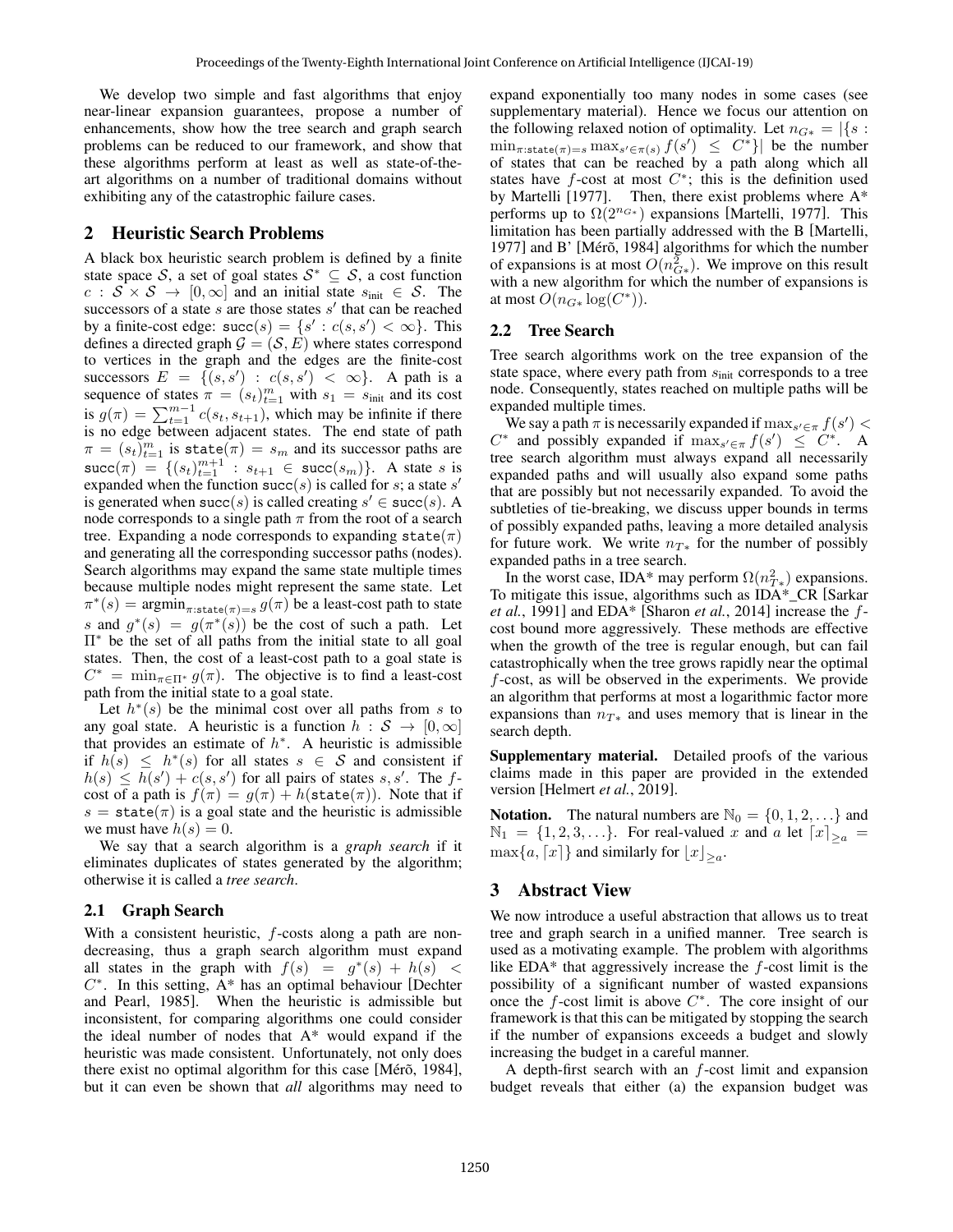We develop two simple and fast algorithms that enjoy near-linear expansion guarantees, propose a number of enhancements, show how the tree search and graph search problems can be reduced to our framework, and show that these algorithms perform at least as well as state-of-theart algorithms on a number of traditional domains without exhibiting any of the catastrophic failure cases.

## 2 Heuristic Search Problems

A black box heuristic search problem is defined by a finite state space S, a set of goal states  $S^* \subseteq S$ , a cost function  $c : S \times S \rightarrow [0, \infty]$  and an initial state  $s_{\text{init}} \in S$ . The successors of a state  $s$  are those states  $s'$  that can be reached by a finite-cost edge:  $succ(s) = \{s' : c(s, s') < \infty\}$ . This defines a directed graph  $\mathcal{G} = (\mathcal{S}, E)$  where states correspond to vertices in the graph and the edges are the finite-cost successors  $E = \{ (s, s') : c(s, s') < \infty \}.$  A path is a sequence of states  $\pi = (s_t)_{t=1}^m$  with  $s_1 = s_{\text{init}}$  and its cost is  $g(\pi) = \sum_{t=1}^{m-1} c(s_t, s_{t+1})$ , which may be infinite if there is no edge between adjacent states. The end state of path  $\pi = (s_t)_{t=1}^m$  is state $(\pi) = s_m$  and its successor paths are succ $(\pi) = \{(s_t)_{t=1}^{m+1} : s_{t+1} \in \text{succ}(s_m)\}\.$  A state s is expanded when the function succ(s) is called for s; a state s' is generated when succ(s) is called creating  $s' \in \text{succ}(s)$ . A node corresponds to a single path  $\pi$  from the root of a search tree. Expanding a node corresponds to expanding state( $\pi$ ) and generating all the corresponding successor paths (nodes). Search algorithms may expand the same state multiple times because multiple nodes might represent the same state. Let  $\pi^*(s) = \operatorname{argmin}_{\pi: \text{state}(\pi) = s} g(\pi)$  be a least-cost path to state s and  $g^*(s) = g(\pi^*(s))$  be the cost of such a path. Let Π<sup>∗</sup> be the set of all paths from the initial state to all goal states. Then, the cost of a least-cost path to a goal state is  $C^* = \min_{\pi \in \Pi^*} g(\pi)$ . The objective is to find a least-cost path from the initial state to a goal state.

Let  $h^*(s)$  be the minimal cost over all paths from s to any goal state. A heuristic is a function  $h : S \to [0, \infty]$ that provides an estimate of  $h^*$ . A heuristic is admissible if  $h(s) \leq h^*(s)$  for all states  $s \in S$  and consistent if  $h(s) \leq h(s') + c(s, s')$  for all pairs of states s, s'. The fcost of a path is  $f(\pi) = g(\pi) + h(\text{state}(\pi))$ . Note that if  $s = state(\pi)$  is a goal state and the heuristic is admissible we must have  $h(s) = 0$ .

We say that a search algorithm is a *graph search* if it eliminates duplicates of states generated by the algorithm; otherwise it is called a *tree search*.

#### 2.1 Graph Search

With a consistent heuristic,  $f$ -costs along a path are nondecreasing, thus a graph search algorithm must expand all states in the graph with  $f(s) = g^*(s) + h(s)$  $C^*$ . In this setting,  $A^*$  has an optimal behaviour [Dechter and Pearl, 1985]. When the heuristic is admissible but inconsistent, for comparing algorithms one could consider the ideal number of nodes that A\* would expand if the heuristic was made consistent. Unfortunately, not only does there exist no optimal algorithm for this case [Mérõ, 1984], but it can even be shown that *all* algorithms may need to expand exponentially too many nodes in some cases (see supplementary material). Hence we focus our attention on the following relaxed notion of optimality. Let  $n_{G*} = |\{s :$  $\min_{\pi: \text{state}(\pi)=s} \max_{s' \in \pi(s)} f(s') \leq C^*$ } be the number of states that can be reached by a path along which all states have  $f$ -cost at most  $C^*$ ; this is the definition used by Martelli [1977]. Then, there exist problems where A\* performs up to  $\Omega(2^{n_{G*}})$  expansions [Martelli, 1977]. This limitation has been partially addressed with the B [Martelli, 1977] and B' [Mérõ, 1984] algorithms for which the number of expansions is at most  $O(n_{G*}^2)$ . We improve on this result with a new algorithm for which the number of expansions is at most  $O(n_{G*} \log(C^*))$ .

## 2.2 Tree Search

Tree search algorithms work on the tree expansion of the state space, where every path from  $s_{\text{init}}$  corresponds to a tree node. Consequently, states reached on multiple paths will be expanded multiple times.

We say a path  $\pi$  is necessarily expanded if  $\max_{s' \in \pi} f(s')$  $C^*$  and possibly expanded if  $\max_{s' \in \pi} f(s') \leq C^*$ . A tree search algorithm must always expand all necessarily expanded paths and will usually also expand some paths that are possibly but not necessarily expanded. To avoid the subtleties of tie-breaking, we discuss upper bounds in terms of possibly expanded paths, leaving a more detailed analysis for future work. We write  $n_{T*}$  for the number of possibly expanded paths in a tree search.

In the worst case, IDA\* may perform  $\Omega(n_{T*}^2)$  expansions. To mitigate this issue, algorithms such as IDA\* CR [Sarkar] *et al.*, 1991] and EDA\* [Sharon *et al.*, 2014] increase the fcost bound more aggressively. These methods are effective when the growth of the tree is regular enough, but can fail catastrophically when the tree grows rapidly near the optimal f-cost, as will be observed in the experiments. We provide an algorithm that performs at most a logarithmic factor more expansions than  $n_{\tau*}$  and uses memory that is linear in the search depth.

Supplementary material. Detailed proofs of the various claims made in this paper are provided in the extended version [Helmert *et al.*, 2019].

**Notation.** The natural numbers are  $\mathbb{N}_0 = \{0, 1, 2, \ldots\}$  and  $\mathbb{N}_1 = \{1, 2, 3, \ldots\}$ . For real-valued x and a let  $\lceil x \rceil_{\geq a} =$  $\max\{a, \lceil x \rceil\}$  and similarly for  $\lfloor x \rfloor_{\geq a}$ .

#### 3 Abstract View

We now introduce a useful abstraction that allows us to treat tree and graph search in a unified manner. Tree search is used as a motivating example. The problem with algorithms like EDA $*$  that aggressively increase the  $f$ -cost limit is the possibility of a significant number of wasted expansions once the  $f$ -cost limit is above  $C^*$ . The core insight of our framework is that this can be mitigated by stopping the search if the number of expansions exceeds a budget and slowly increasing the budget in a careful manner.

A depth-first search with an  $f$ -cost limit and expansion budget reveals that either (a) the expansion budget was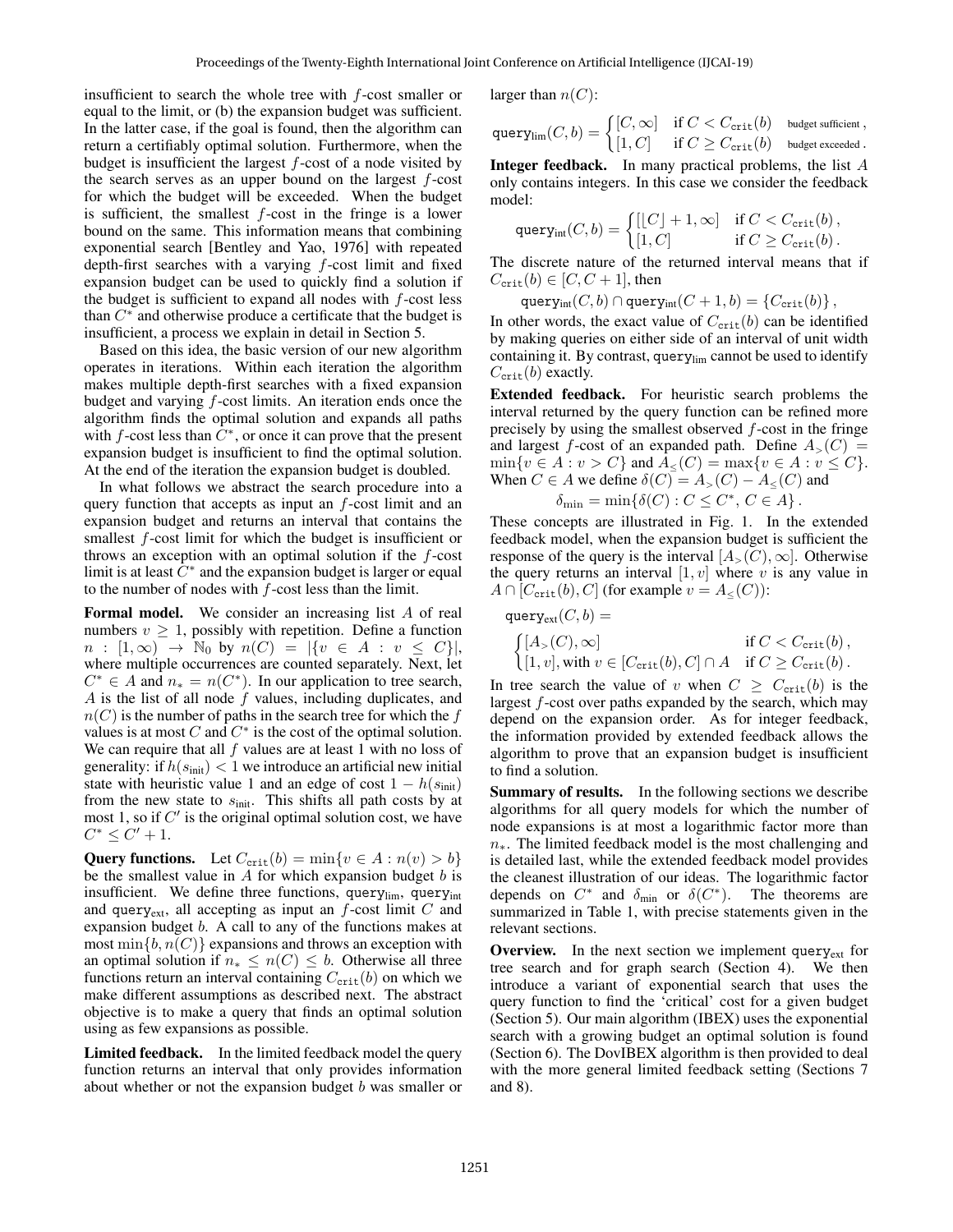insufficient to search the whole tree with f-cost smaller or equal to the limit, or (b) the expansion budget was sufficient. In the latter case, if the goal is found, then the algorithm can return a certifiably optimal solution. Furthermore, when the budget is insufficient the largest  $f$ -cost of a node visited by the search serves as an upper bound on the largest  $f$ -cost for which the budget will be exceeded. When the budget is sufficient, the smallest  $f$ -cost in the fringe is a lower bound on the same. This information means that combining exponential search [Bentley and Yao, 1976] with repeated depth-first searches with a varying  $f$ -cost limit and fixed expansion budget can be used to quickly find a solution if the budget is sufficient to expand all nodes with  $f$ -cost less than  $C^*$  and otherwise produce a certificate that the budget is insufficient, a process we explain in detail in Section 5.

Based on this idea, the basic version of our new algorithm operates in iterations. Within each iteration the algorithm makes multiple depth-first searches with a fixed expansion budget and varying f-cost limits. An iteration ends once the algorithm finds the optimal solution and expands all paths with f-cost less than  $\tilde{C}^*$ , or once it can prove that the present expansion budget is insufficient to find the optimal solution. At the end of the iteration the expansion budget is doubled.

In what follows we abstract the search procedure into a query function that accepts as input an  $f$ -cost limit and an expansion budget and returns an interval that contains the smallest *f*-cost limit for which the budget is insufficient or throws an exception with an optimal solution if the  $f$ -cost limit is at least  $\tilde{C}^*$  and the expansion budget is larger or equal to the number of nodes with  $f$ -cost less than the limit.

Formal model. We consider an increasing list A of real numbers  $v \geq 1$ , possibly with repetition. Define a function  $n : [1, \infty) \to \mathbb{N}_0$  by  $n(C) = |\{v \in A : v \leq C\}|,$ where multiple occurrences are counted separately. Next, let  $C^* \in A$  and  $n_* = n(C^*)$ . In our application to tree search,  $A$  is the list of all node  $f$  values, including duplicates, and  $n(C)$  is the number of paths in the search tree for which the f values is at most C and  $C^*$  is the cost of the optimal solution. We can require that all  $f$  values are at least 1 with no loss of generality: if  $h(s<sub>init</sub>) < 1$  we introduce an artificial new initial state with heuristic value 1 and an edge of cost  $1 - h(s<sub>init</sub>)$ from the new state to  $s_{\text{init}}$ . This shifts all path costs by at most 1, so if  $C'$  is the original optimal solution cost, we have  $C^* \leq C' + 1.$ 

**Query functions.** Let  $C_{\text{crit}}(b) = \min\{v \in A : n(v) > b\}$ be the smallest value in  $A$  for which expansion budget  $b$  is insufficient. We define three functions, query $_{\text{lim}}$ , query $_{\text{int}}$ and query<sub>ext</sub>, all accepting as input an  $f$ -cost limit  $C$  and expansion budget b. A call to any of the functions makes at most  $\min\{b, n(C)\}\$ expansions and throws an exception with an optimal solution if  $n_* \leq n(C) \leq b$ . Otherwise all three functions return an interval containing  $C_{\text{crit}}(b)$  on which we make different assumptions as described next. The abstract objective is to make a query that finds an optimal solution using as few expansions as possible.

Limited feedback. In the limited feedback model the query function returns an interval that only provides information about whether or not the expansion budget  $b$  was smaller or larger than  $n(C)$ :

$$
\text{query}_{\text{lim}}(C, b) = \begin{cases} [C, \infty] & \text{if } C < C_{\text{crit}}(b) \\ [1, C] & \text{if } C \ge C_{\text{crit}}(b) \end{cases} \text{ budget exceeded.}
$$

Integer feedback. In many practical problems, the list A only contains integers. In this case we consider the feedback model:

$$
\text{query}_{\text{int}}(C, b) = \begin{cases} [[C] + 1, \infty] & \text{if } C < C_{\text{crit}}(b), \\ [1, C] & \text{if } C \ge C_{\text{crit}}(b). \end{cases}
$$

The discrete nature of the returned interval means that if  $C_{\text{crit}}(b) \in [C, C+1]$ , then

query<sub>int</sub> $(C, b) \cap$ query<sub>int</sub> $(C + 1, b) = \{C_{\text{crit}}(b)\},$ 

In other words, the exact value of  $C_{\text{crit}}(b)$  can be identified by making queries on either side of an interval of unit width containing it. By contrast, query $_{\text{lim}}$  cannot be used to identify  $C_{\rm crit}(b)$  exactly.

Extended feedback. For heuristic search problems the interval returned by the query function can be refined more precisely by using the smallest observed  $f$ -cost in the fringe and largest f-cost of an expanded path. Define  $A_>(C)$  =  $\min\{v \in A : v > C\}$  and  $A_{\leq}(C) = \max\{v \in A : v \leq C\}.$ When  $C \in A$  we define  $\delta(C) = A_{>}(C) - A_{<}(C)$  and

$$
\delta_{\min} = \min \{ \delta(C) : C \le C^*, C \in A \}.
$$

These concepts are illustrated in Fig. 1. In the extended feedback model, when the expansion budget is sufficient the response of the query is the interval  $[A_>(C), \infty]$ . Otherwise the query returns an interval  $[1, v]$  where v is any value in  $A \cap [C_{\text{crit}}(b), C]$  (for example  $v = A_{\leq}(C)$ ):

$$
\begin{aligned}\n\text{query}_{\text{ext}}(C, b) &= \\
\begin{cases}\n[A_{>}(C), \infty] & \text{if } C < C_{\text{crit}}(b), \\
[1, v], \text{with } v \in [C_{\text{crit}}(b), C] \cap A & \text{if } C \geq C_{\text{crit}}(b).\n\end{cases}\n\end{aligned}
$$

In tree search the value of v when  $C \geq C_{\text{crit}}(b)$  is the largest f-cost over paths expanded by the search, which may depend on the expansion order. As for integer feedback, the information provided by extended feedback allows the algorithm to prove that an expansion budget is insufficient to find a solution.

Summary of results. In the following sections we describe algorithms for all query models for which the number of node expansions is at most a logarithmic factor more than  $n_{*}$ . The limited feedback model is the most challenging and is detailed last, while the extended feedback model provides the cleanest illustration of our ideas. The logarithmic factor depends on  $C^*$  and  $\delta_{\min}$  or  $\delta(C^*)$ . The theorems are summarized in Table 1, with precise statements given in the relevant sections.

**Overview.** In the next section we implement query<sub>ext</sub> for tree search and for graph search (Section 4). We then introduce a variant of exponential search that uses the query function to find the 'critical' cost for a given budget (Section 5). Our main algorithm (IBEX) uses the exponential search with a growing budget an optimal solution is found (Section 6). The DovIBEX algorithm is then provided to deal with the more general limited feedback setting (Sections 7 and 8).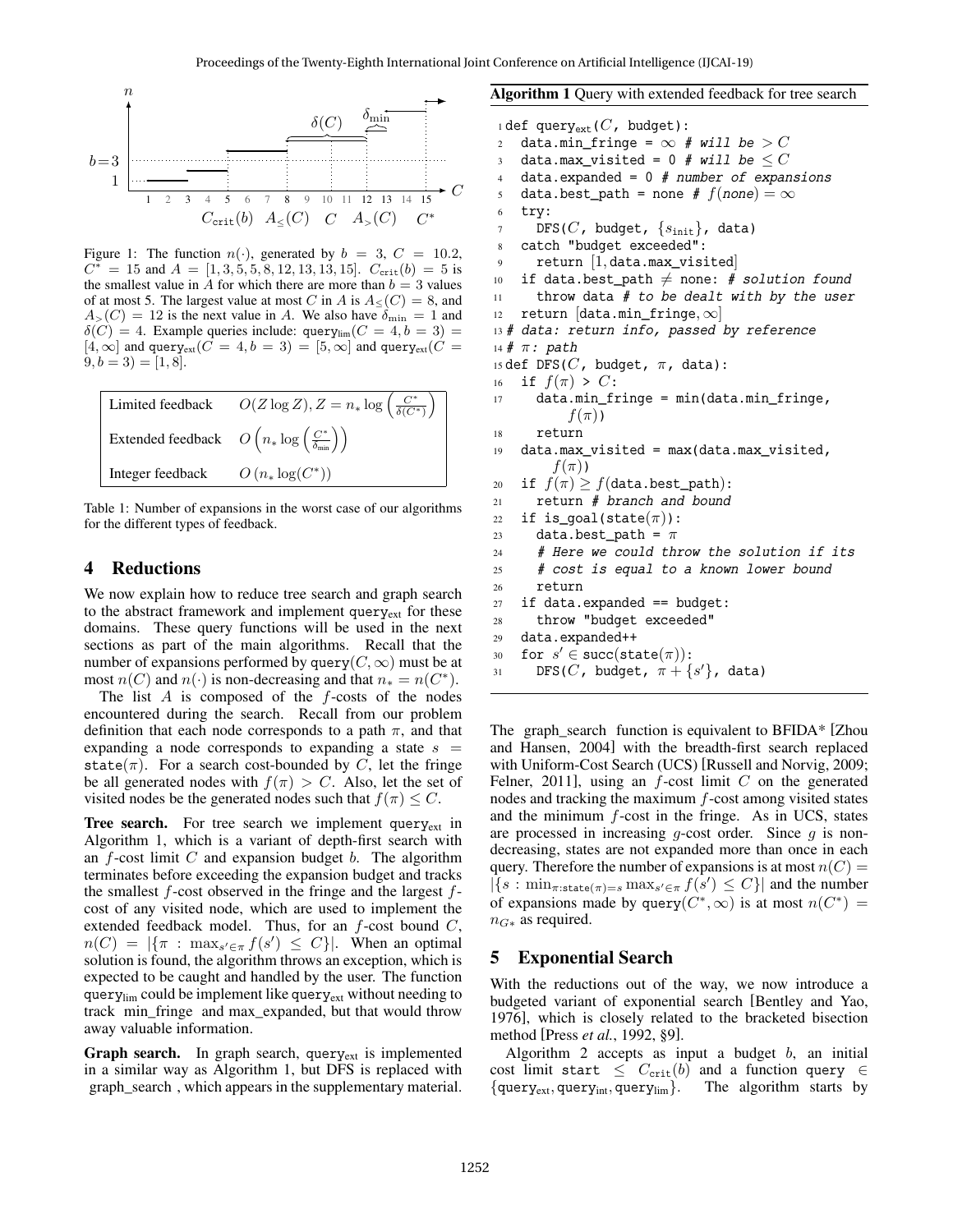

Figure 1: The function  $n(\cdot)$ , generated by  $b = 3$ ,  $C = 10.2$ ,  $C^* = 15$  and  $A = [1, 3, 5, 5, 8, 12, 13, 13, 15]$ .  $C_{\text{crit}}(b) = 5$  is the smallest value in  $\ddot{A}$  for which there are more than  $b = 3$  values of at most 5. The largest value at most C in A is  $A_<(C)=8$ , and  $A_{>}(C) = 12$  is the next value in A. We also have  $\delta_{\min} = 1$  and  $\delta(C) = 4$ . Example queries include: query<sub>lim</sub> $(C = 4, b = 3)$  $[4, \infty]$  and query<sub>ext</sub> $(C = 4, b = 3) = [5, \infty]$  and query<sub>ext</sub> $(C = 1, \infty)$  $(9, b = 3) = [1, 8].$ 



Table 1: Number of expansions in the worst case of our algorithms for the different types of feedback.

# 4 Reductions

We now explain how to reduce tree search and graph search to the abstract framework and implement query<sub>ext</sub> for these domains. These query functions will be used in the next sections as part of the main algorithms. Recall that the number of expansions performed by query( $C, \infty$ ) must be at most  $n(C)$  and  $n(\cdot)$  is non-decreasing and that  $n_* = n(C^*)$ .

The list  $A$  is composed of the  $f$ -costs of the nodes encountered during the search. Recall from our problem definition that each node corresponds to a path  $\pi$ , and that expanding a node corresponds to expanding a state  $s =$ state( $\pi$ ). For a search cost-bounded by C, let the fringe be all generated nodes with  $f(\pi) > C$ . Also, let the set of visited nodes be the generated nodes such that  $f(\pi) \leq C$ .

**Tree search.** For tree search we implement query $_{ext}$  in Algorithm 1, which is a variant of depth-first search with an  $f$ -cost limit  $C$  and expansion budget  $b$ . The algorithm terminates before exceeding the expansion budget and tracks the smallest  $f$ -cost observed in the fringe and the largest  $f$ cost of any visited node, which are used to implement the extended feedback model. Thus, for an  $f$ -cost bound  $C$ ,  $n(C) = |\{\pi : \max_{s' \in \pi} f(s') \leq C\}|$ . When an optimal solution is found, the algorithm throws an exception, which is expected to be caught and handled by the user. The function query<sub>lim</sub> could be implement like query<sub>ext</sub> without needing to track min\_fringe and max\_expanded, but that would throw away valuable information.

**Graph search.** In graph search, query $_{ext}$  is implemented in a similar way as Algorithm 1, but DFS is replaced with graph\_search , which appears in the supplementary material. Algorithm 1 Query with extended feedback for tree search

```
1 def query_{\rm ext}(C), budget):
2 data.min_fringe = \infty # will be > C
3 data.max_visited = 0 # will be \leq C4 data.expanded = 0 # number of expansions
5 data.best_path = none # f(none) = \infty6 try:
      DFS(C, budget, \{s_{\text{init}}\}, data)
8 catch "budget exceeded":
9 return [1, data.max_visited]
10 if data.best_path \neq none: # solution found
11 throw data # to be dealt with by the user
12 return [data.min\_fringe, \infty]13 # data: return info, passed by reference
14 # \pi: path
15 def DFS(C, budget, \pi, data):
16 if f(\pi) > C:
17 data.min_fringe = min(data.min_fringe,
          f(\pi))
18 return
19 data.max_visited = max(data.max_visited,
        f(\pi))
20 if f(\pi) \geq f(\text{data.best\_path}):
21 return # branch and bound
22 if is qoal(state(\pi)):
23 data.best_path = \pi24 # Here we could throw the solution if its
25 # cost is equal to a known lower bound
26 return
27 if data.expanded == budget:
28 throw "budget exceeded"
29 data.expanded++
30 for s' \in \text{succ}(\text{state}(\pi)):
31 DFS(C, budget, \pi + \{s'\}, data)
```
The graph search function is equivalent to BFIDA\* [Zhou and Hansen, 2004] with the breadth-first search replaced with Uniform-Cost Search (UCS) [Russell and Norvig, 2009; Felner, 2011], using an  $f$ -cost limit  $C$  on the generated nodes and tracking the maximum  $f$ -cost among visited states and the minimum f-cost in the fringe. As in UCS, states are processed in increasing q-cost order. Since  $q$  is nondecreasing, states are not expanded more than once in each query. Therefore the number of expansions is at most  $n(C)$  =  $|\{s : \min_{\pi: \text{state}(\pi)=s} \max_{s' \in \pi} f(s') \leq C\}|$  and the number of expansions made by query  $(C^*, \infty)$  is at most  $n(C^*)$  =  $n_{G*}$  as required.

## 5 Exponential Search

With the reductions out of the way, we now introduce a budgeted variant of exponential search [Bentley and Yao, 1976], which is closely related to the bracketed bisection method [Press *et al.*, 1992, §9].

Algorithm 2 accepts as input a budget  $b$ , an initial cost limit start  $\leq C_{\text{crit}}(b)$  and a function query  $\in$  ${query_{ext}, query_{int}, query_{lim}}$ . The algorithm starts by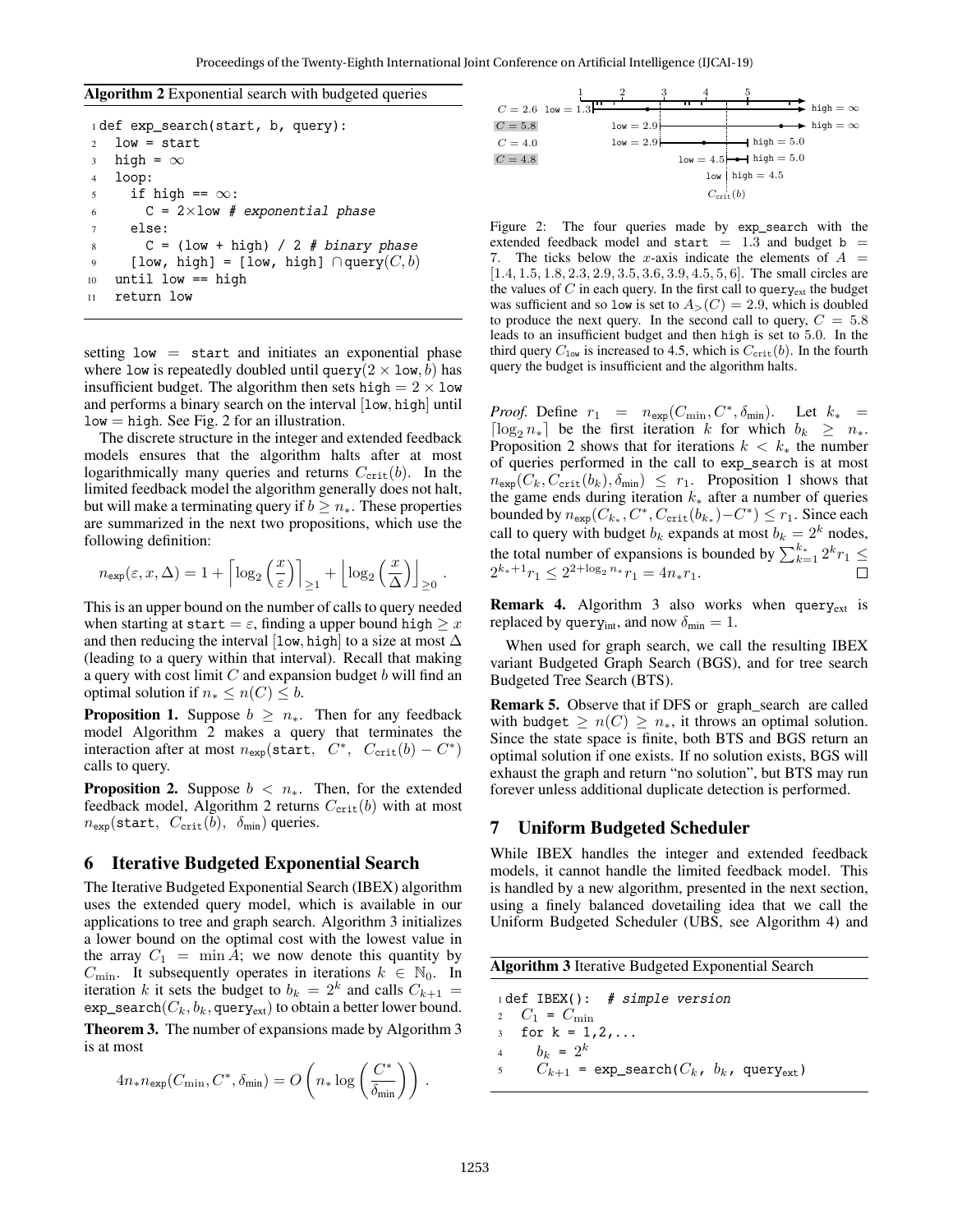Algorithm 2 Exponential search with budgeted queries

```
1 def exp_search(start, b, query):
2 low = start
3 high = \infty4 loop:
5 if high == \infty:
6 C = 2 \times 1ow # exponential phase
7 else:
8 C = (low + high) / 2 # binary phase9 \qquad \texttt{[low, high]} = \texttt{[low, high]} \cap \texttt{query}(C, b)10 until low == high
11 return low
```
setting  $low = start$  and initiates an exponential phase where low is repeatedly doubled until query( $2 \times \text{low}, b$ ) has insufficient budget. The algorithm then sets high =  $2 \times$  low and performs a binary search on the interval [low, high] until  $low = high.$  See Fig. 2 for an illustration.

The discrete structure in the integer and extended feedback models ensures that the algorithm halts after at most logarithmically many queries and returns  $C_{\text{crit}}(b)$ . In the limited feedback model the algorithm generally does not halt, but will make a terminating query if  $b \geq n_*$ . These properties are summarized in the next two propositions, which use the following definition:

$$
n_{\exp}(\varepsilon, x, \Delta) = 1 + \left\lceil \log_2\left(\frac{x}{\varepsilon}\right) \right\rceil_{\geq 1} + \left\lfloor \log_2\left(\frac{x}{\Delta}\right) \right\rfloor_{\geq 0}.
$$

This is an upper bound on the number of calls to query needed when starting at start =  $\varepsilon$ , finding a upper bound high  $\geq x$ and then reducing the interval [low, high] to a size at most  $\Delta$ (leading to a query within that interval). Recall that making a query with cost limit  $C$  and expansion budget  $b$  will find an optimal solution if  $n_* \leq n(C) \leq b$ .

**Proposition 1.** Suppose  $b \geq n_*$ . Then for any feedback model Algorithm 2 makes a query that terminates the interaction after at most  $n_{exp}$ (start,  $C^*$ ,  $C_{crit}(b) - C^*$ ) calls to query.

**Proposition 2.** Suppose  $b < n_*$ . Then, for the extended feedback model, Algorithm 2 returns  $C_{\text{crit}}(b)$  with at most  $n_{\text{exp}}(\text{start}, C_{\text{crit}}(b), \delta_{\text{min}})$  queries.

## 6 Iterative Budgeted Exponential Search

The Iterative Budgeted Exponential Search (IBEX) algorithm uses the extended query model, which is available in our applications to tree and graph search. Algorithm 3 initializes a lower bound on the optimal cost with the lowest value in the array  $C_1 = \min A$ ; we now denote this quantity by  $C_{\text{min}}$ . It subsequently operates in iterations  $k \in \mathbb{N}_0$ . In iteration k it sets the budget to  $b_k = 2^k$  and calls  $C_{k+1} =$  $exp\_search(C_k, b_k, query_{ext})$  to obtain a better lower bound.

Theorem 3. The number of expansions made by Algorithm 3 is at most

$$
4n_* n_{\exp}(C_{\min}, C^*, \delta_{\min}) = O\left(n_* \log\left(\frac{C^*}{\delta_{\min}}\right)\right).
$$



Figure 2: The four queries made by exp search with the extended feedback model and start  $= 1.3$  and budget b  $=$ 7. The ticks below the x-axis indicate the elements of  $A =$ [1.4, 1.5, 1.8, 2.3, 2.9, 3.5, 3.6, 3.9, 4.5, 5, 6]. The small circles are the values of  $C$  in each query. In the first call to query<sub>ext</sub> the budget was sufficient and so low is set to  $A_>(C) = 2.9$ , which is doubled to produce the next query. In the second call to query,  $C = 5.8$ leads to an insufficient budget and then high is set to 5.0. In the third query  $C_{\text{low}}$  is increased to 4.5, which is  $C_{\text{crit}}(b)$ . In the fourth query the budget is insufficient and the algorithm halts.

*Proof.* Define  $r_1 = n_{exp}(C_{min}, C^*, \delta_{min})$ . Let  $k_* =$  $\lceil \log_2 n_* \rceil$  be the first iteration k for which  $b_k \geq n_*$ . Proposition 2 shows that for iterations  $k < k_{\ast}$  the number of queries performed in the call to exp\_search is at most  $n_{\exp}(C_k, C_{\text{crit}}(b_k), \delta_{\min}) \leq r_1$ . Proposition 1 shows that the game ends during iteration  $k<sub>*</sub>$  after a number of queries bounded by  $n_{\exp}(C_{k_*}, C^*, C_{\text{crit}}(b_{k_*})-C^*) \leq r_1$ . Since each call to query with budget  $b_k$  expands at most  $b_k = 2^k$  nodes, the total number of expansions is bounded by  $\sum_{k=1}^{k_*} 2^k r_1 \leq$  $2^{k_*+1}r_1 \leq 2^{2+\log_2 n_*}r_1 = 4n_*r_1.$ 

Remark 4. Algorithm 3 also works when query<sub>ext</sub> is replaced by query<sub>int</sub>, and now  $\delta_{\min} = 1$ .

When used for graph search, we call the resulting IBEX variant Budgeted Graph Search (BGS), and for tree search Budgeted Tree Search (BTS).

Remark 5. Observe that if DFS or graph\_search are called with budget  $\geq n(C) \geq n_*$ , it throws an optimal solution. Since the state space is finite, both BTS and BGS return an optimal solution if one exists. If no solution exists, BGS will exhaust the graph and return "no solution", but BTS may run forever unless additional duplicate detection is performed.

### 7 Uniform Budgeted Scheduler

While IBEX handles the integer and extended feedback models, it cannot handle the limited feedback model. This is handled by a new algorithm, presented in the next section, using a finely balanced dovetailing idea that we call the Uniform Budgeted Scheduler (UBS, see Algorithm 4) and

| <b>Algorithm 3</b> Iterative Budgeted Exponential Search |                                                                |  |  |  |  |
|----------------------------------------------------------|----------------------------------------------------------------|--|--|--|--|
|                                                          | $idef$ IBEX(): # simple version                                |  |  |  |  |
|                                                          | 2 $C_1 = C_{\min}$                                             |  |  |  |  |
|                                                          | 3 for $k = 1, 2, $                                             |  |  |  |  |
|                                                          | 4 $b_k = 2^k$                                                  |  |  |  |  |
| 5                                                        | $C_{k+1}$ = exp_search( $C_k$ , $b_k$ , query <sub>ext</sub> ) |  |  |  |  |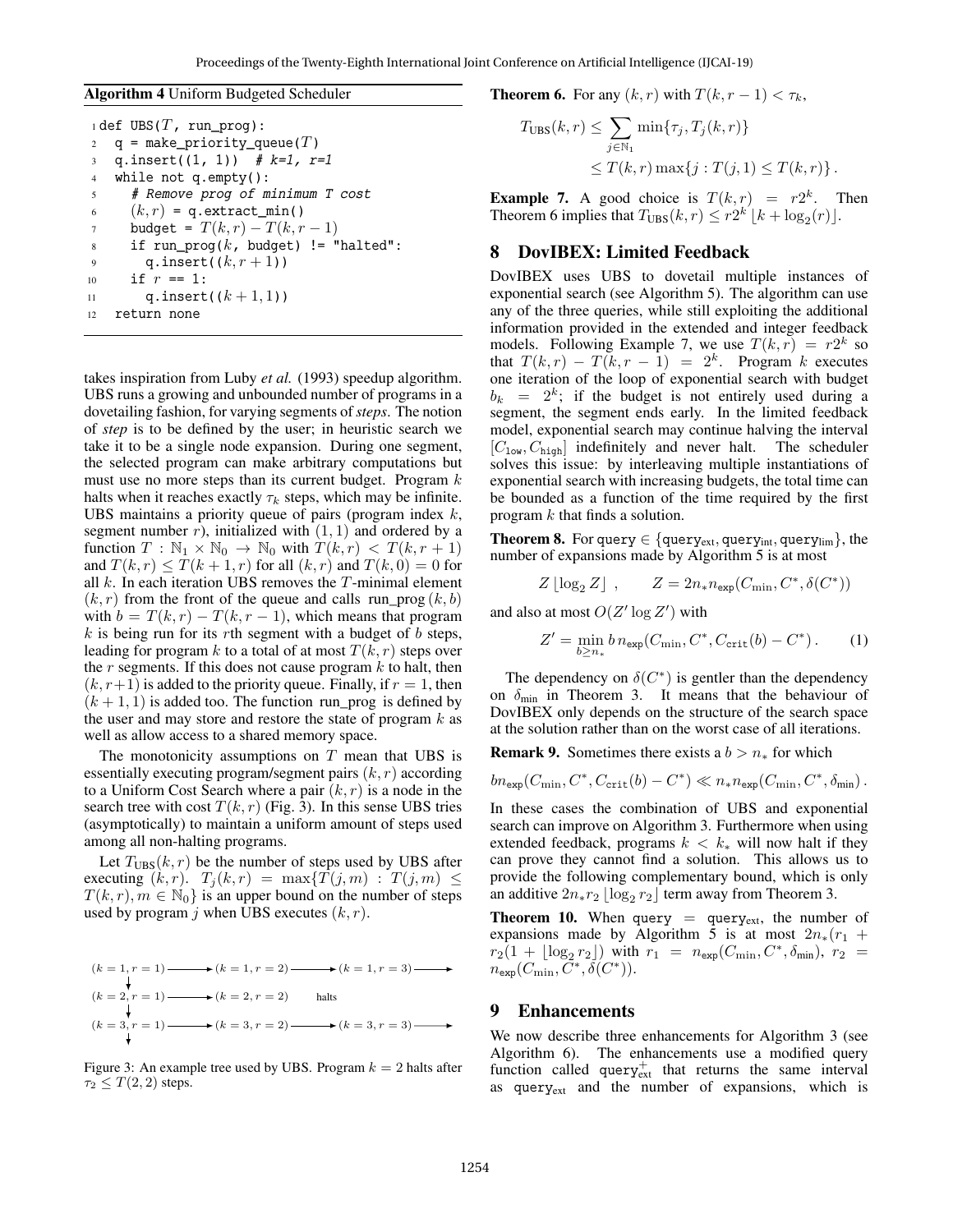#### Algorithm 4 Uniform Budgeted Scheduler

|                | $idef$ UBS( $T$ , run prog):            |
|----------------|-----------------------------------------|
| $\overline{c}$ | $q =$ make priority queue(T)            |
| $\overline{3}$ | q.insert( $(1, 1)$ ) # $k=1$ , $r=1$    |
| $\overline{4}$ | while not $q$ . empty():                |
| 5              | # Remove prog of minimum T cost         |
| 6              | $(k, r) = q$ . extract_min()            |
| 7              | budget = $T(k,r) - T(k,r-1)$            |
| 8              | if run_proq( $k$ , budget) != "halted": |
| 9              | q.insert $((k, r + 1))$                 |
| 10             | if $r == 1$ :                           |
| 11             | q.insert( $(k+1,1)$ )                   |
| 12             | return none                             |

takes inspiration from Luby *et al.* (1993) speedup algorithm. UBS runs a growing and unbounded number of programs in a dovetailing fashion, for varying segments of*steps*. The notion of *step* is to be defined by the user; in heuristic search we take it to be a single node expansion. During one segment, the selected program can make arbitrary computations but must use no more steps than its current budget. Program  $k$ halts when it reaches exactly  $\tau_k$  steps, which may be infinite. UBS maintains a priority queue of pairs (program index  $k$ , segment number  $r$ ), initialized with  $(1, 1)$  and ordered by a function  $T : \mathbb{N}_1 \times \mathbb{N}_0 \to \mathbb{N}_0$  with  $T(k, r) < T(k, r + 1)$ and  $T(k, r) \leq T(k + 1, r)$  for all  $(k, r)$  and  $T(k, 0) = 0$  for all  $k$ . In each iteration UBS removes the  $T$ -minimal element  $(k, r)$  from the front of the queue and calls run\_prog  $(k, b)$ with  $b = T(k, r) - T(k, r - 1)$ , which means that program  $k$  is being run for its rth segment with a budget of  $b$  steps, leading for program k to a total of at most  $T(k, r)$  steps over the  $r$  segments. If this does not cause program  $k$  to halt, then  $(k, r+1)$  is added to the priority queue. Finally, if  $r = 1$ , then  $(k + 1, 1)$  is added too. The function run\_prog is defined by the user and may store and restore the state of program  $k$  as well as allow access to a shared memory space.

The monotonicity assumptions on  $T$  mean that UBS is essentially executing program/segment pairs  $(k, r)$  according to a Uniform Cost Search where a pair  $(k, r)$  is a node in the search tree with cost  $T(k, r)$  (Fig. 3). In this sense UBS tries (asymptotically) to maintain a uniform amount of steps used among all non-halting programs.

Let  $T<sub>UBS</sub>(k, r)$  be the number of steps used by UBS after executing  $(k, r)$ .  $T_i (k, r) = \max\{T(j, m) : T(j, m) \leq$  $T(k, r), m \in \mathbb{N}_0$  is an upper bound on the number of steps used by program j when UBS executes  $(k, r)$ .

$$
(k = 1, r = 1) \longrightarrow (k = 1, r = 2) \longrightarrow (k = 1, r = 3) \longrightarrow
$$
  
\n
$$
(k = 2, r = 1) \longrightarrow (k = 2, r = 2) \qquad \text{halts}
$$
  
\n
$$
(k = 3, r = 1) \longrightarrow (k = 3, r = 2) \longrightarrow (k = 3, r = 3) \longrightarrow
$$

Figure 3: An example tree used by UBS. Program  $k = 2$  halts after  $\tau_2 \leq T(2, 2)$  steps.

**Theorem 6.** For any  $(k, r)$  with  $T(k, r - 1) < \tau_k$ ,

$$
T_{\text{UBS}}(k,r) \leq \sum_{j \in \mathbb{N}_1} \min\{\tau_j, T_j(k,r)\}
$$
  
 
$$
\leq T(k,r) \max\{j : T(j,1) \leq T(k,r)\}.
$$

**Example 7.** A good choice is  $T(k,r) = r2^k$ . Then Theorem 6 implies that  $T_{\text{UBS}}(k, r) \leq r2^{k'}\left[k + \log_2(r)\right]$ .

## 8 DovIBEX: Limited Feedback

DovIBEX uses UBS to dovetail multiple instances of exponential search (see Algorithm 5). The algorithm can use any of the three queries, while still exploiting the additional information provided in the extended and integer feedback models. Following Example 7, we use  $T(k, r) = r2^k$  so that  $T(k,r) - T(k,r-1) = 2^k$ . Program k executes one iteration of the loop of exponential search with budget  $b_k = 2^k$ ; if the budget is not entirely used during a segment, the segment ends early. In the limited feedback model, exponential search may continue halving the interval  $[C_{\text{low}}, C_{\text{high}}]$  indefinitely and never halt. The scheduler solves this issue: by interleaving multiple instantiations of exponential search with increasing budgets, the total time can be bounded as a function of the time required by the first program k that finds a solution.

**Theorem 8.** For query  $\in \{query_{ext}, query_{int}, query_{lim}\},$  the number of expansions made by Algorithm 5 is at most

$$
Z\left\lfloor \log_2 Z \right\rfloor \; , \qquad Z=2n_* n_{\exp}(C_{\min},C^*,\delta(C^*))
$$

and also at most  $O(Z' \log Z')$  with

$$
Z' = \min_{b \ge n_*} b \, n_{\exp}(C_{\min}, C^*, C_{\text{crit}}(b) - C^*).
$$
 (1)

The dependency on  $\delta(C^*)$  is gentler than the dependency on  $\delta_{\text{min}}$  in Theorem 3. It means that the behaviour of DovIBEX only depends on the structure of the search space at the solution rather than on the worst case of all iterations.

**Remark 9.** Sometimes there exists a  $b > n_*$  for which

$$
bn_{\exp}(C_{\min}, C^*, C_{\text{crit}}(b) - C^*) \ll n_* n_{\exp}(C_{\min}, C^*, \delta_{\min}).
$$

In these cases the combination of UBS and exponential search can improve on Algorithm 3. Furthermore when using extended feedback, programs  $k < k_*$  will now halt if they can prove they cannot find a solution. This allows us to provide the following complementary bound, which is only an additive  $2n_*r_2 \lfloor \log_2 r_2 \rfloor$  term away from Theorem 3.

**Theorem 10.** When query  $=$  query<sub>ext</sub>, the number of expansions made by Algorithm 5 is at most  $2n_*(r_1 +$  $r_2(1 + \lfloor \log_2 r_2 \rfloor)$  with  $r_1 = n_{\exp}(C_{\min}, C^*, \delta_{\min}), r_2 =$  $n_{\textsf{\small exp}}(C_{\textsf{\small min}}, \tilde{C}^*, \tilde{\delta}(C^*)).$ 

#### 9 Enhancements

We now describe three enhancements for Algorithm 3 (see Algorithm 6). The enhancements use a modified query function called query $_{ext}$  that returns the same interval as queryext and the number of expansions, which is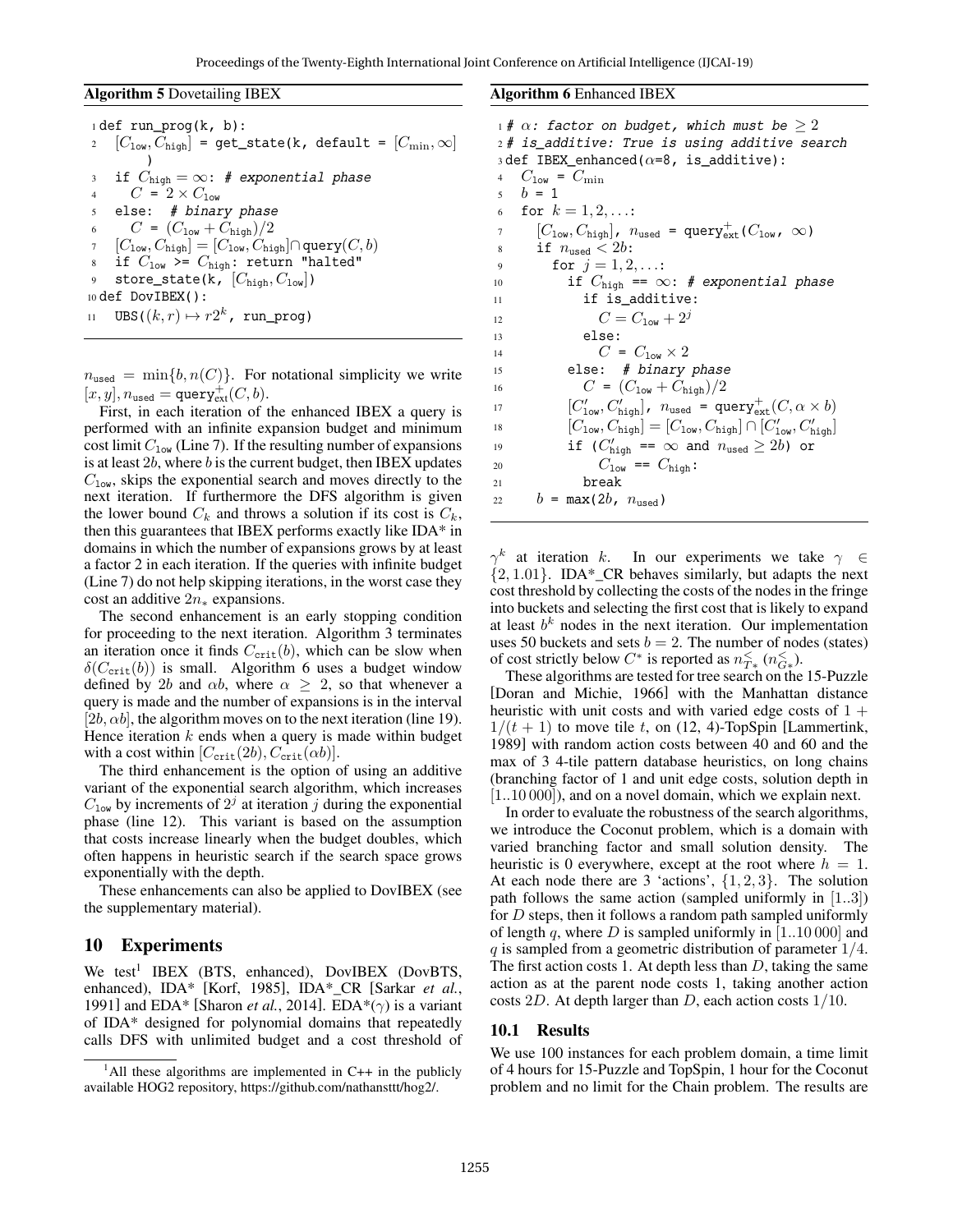Algorithm 5 Dovetailing IBEX

```
1 def run_prog(k, b):
2 [C_{\text{low}}, C_{\text{high}}] = get_state(k, default = [C_{\text{min}}, \infty])
3 if C_{\text{high}} = \infty: # exponential phase
4 C = 2 \times C_{\text{low}}5 else: # binary phase
6 C = (C_{\text{low}} + C_{\text{high}})/27 \quad [C_{\text{low}}, C_{\text{high}}] = [C_{\text{low}}, C_{\text{high}}] \cap \text{query}(C, b)8 if C_{\text{low}} >= C_{\text{high}}: return "halted"
9 store_state(k, [C_{\text{high}}, C_{\text{low}}])
10 def DovIBEX():
11 UBS((k, r) \mapsto r2^k, run_prog)
```
 $n_{used} = \min\{b, n(C)\}\$ . For notational simplicity we write  $[x, y], n_{\text{used}} = \text{query}_{\text{ext}}^+(C, b).$ 

First, in each iteration of the enhanced IBEX a query is performed with an infinite expansion budget and minimum cost limit  $C_{low}$  (Line 7). If the resulting number of expansions is at least  $2b$ , where  $b$  is the current budget, then IBEX updates  $C<sub>low</sub>$ , skips the exponential search and moves directly to the next iteration. If furthermore the DFS algorithm is given the lower bound  $C_k$  and throws a solution if its cost is  $C_k$ , then this guarantees that IBEX performs exactly like IDA\* in domains in which the number of expansions grows by at least a factor 2 in each iteration. If the queries with infinite budget (Line 7) do not help skipping iterations, in the worst case they cost an additive  $2n_*$  expansions.

The second enhancement is an early stopping condition for proceeding to the next iteration. Algorithm 3 terminates an iteration once it finds  $C_{\text{crit}}(b)$ , which can be slow when  $\delta(C_{\rm crit}(b))$  is small. Algorithm 6 uses a budget window defined by 2b and  $\alpha b$ , where  $\alpha \geq 2$ , so that whenever a query is made and the number of expansions is in the interval  $[2b, \alpha b]$ , the algorithm moves on to the next iteration (line 19). Hence iteration  $k$  ends when a query is made within budget with a cost within  $[C_{\rm crit}(2b), C_{\rm crit}(\alpha b)].$ 

The third enhancement is the option of using an additive variant of the exponential search algorithm, which increases  $C_{\text{low}}$  by increments of  $2^j$  at iteration j during the exponential phase (line 12). This variant is based on the assumption that costs increase linearly when the budget doubles, which often happens in heuristic search if the search space grows exponentially with the depth.

These enhancements can also be applied to DovIBEX (see the supplementary material).

#### 10 Experiments

We test<sup>1</sup> IBEX (BTS, enhanced), DovIBEX (DovBTS, enhanced), IDA\* [Korf, 1985], IDA\*\_CR [Sarkar *et al.*, 1991] and EDA\* [Sharon *et al.*, 2014]. EDA\*( $\gamma$ ) is a variant of IDA\* designed for polynomial domains that repeatedly calls DFS with unlimited budget and a cost threshold of Algorithm 6 Enhanced IBEX

```
1# \alpha: factor on budget, which must be \geq 22 # is_additive: True is using additive search
 3 def IBEX_enhanced(\alpha=8, is_additive):
4 C_{\text{low}} = C_{\text{min}}5 \t b = 16 for k = 1, 2, ...:
 \overline{C}_{\text{low}}, \overline{C}_{\text{high}}, n_{\text{used}} = \text{query}_{\text{ext}}^+(C_{\text{low}}, \infty)8 if n_{used} < 2b:
9 for j = 1, 2, ...10 if C_{\text{high}} == \infty: # exponential phase
11 if is_additive:
12 C = C_{1 \text{ow}} + 2^j13 else:
14 C = C_{\text{low}} \times 215 else: # binary phase
16 C = (C_{10w} + C_{\text{high}})/217 [C'_{\text{low}}, C'_{\text{high}}], n_{\text{used}} = \text{query}_{\text{ext}}^+(C, \alpha \times b)18 [C_{\text{low}}, C_{\text{high}}] = [C_{\text{low}}, C_{\text{high}}] \cap [C'_{\text{low}}, C'_{\text{high}}]19 if (C'_{\text{high}} == \infty and n_{\text{used}} \geq 2b) or
20 C_{\text{low}} = C_{\text{high}}:
21 break
22 b = \max(2b, n_{used})
```
 $\gamma^k$  at iteration k. In our experiments we take  $\gamma \in$  ${2, 1.01}$ . IDA\*\_CR behaves similarly, but adapts the next cost threshold by collecting the costs of the nodes in the fringe into buckets and selecting the first cost that is likely to expand at least  $b^k$  nodes in the next iteration. Our implementation uses 50 buckets and sets  $b = 2$ . The number of nodes (states) of cost strictly below  $C^*$  is reported as  $n_{T*}^{\lt}$  ( $n_{G*}^{\lt}$ ).

These algorithms are tested for tree search on the 15-Puzzle [Doran and Michie, 1966] with the Manhattan distance heuristic with unit costs and with varied edge costs of  $1 +$  $1/(t + 1)$  to move tile t, on (12, 4)-TopSpin [Lammertink, 1989] with random action costs between 40 and 60 and the max of 3 4-tile pattern database heuristics, on long chains (branching factor of 1 and unit edge costs, solution depth in [1..10 000]), and on a novel domain, which we explain next.

In order to evaluate the robustness of the search algorithms, we introduce the Coconut problem, which is a domain with varied branching factor and small solution density. The heuristic is 0 everywhere, except at the root where  $h = 1$ . At each node there are 3 'actions',  $\{1, 2, 3\}$ . The solution path follows the same action (sampled uniformly in [1..3]) for  $D$  steps, then it follows a random path sampled uniformly of length q, where D is sampled uniformly in  $[1..10000]$  and  $q$  is sampled from a geometric distribution of parameter  $1/4$ . The first action costs 1. At depth less than  $D$ , taking the same action as at the parent node costs 1, taking another action costs 2D. At depth larger than D, each action costs  $1/10$ .

#### 10.1 Results

We use 100 instances for each problem domain, a time limit of 4 hours for 15-Puzzle and TopSpin, 1 hour for the Coconut problem and no limit for the Chain problem. The results are

<sup>&</sup>lt;sup>1</sup>All these algorithms are implemented in C++ in the publicly available HOG2 repository, https://github.com/nathansttt/hog2/.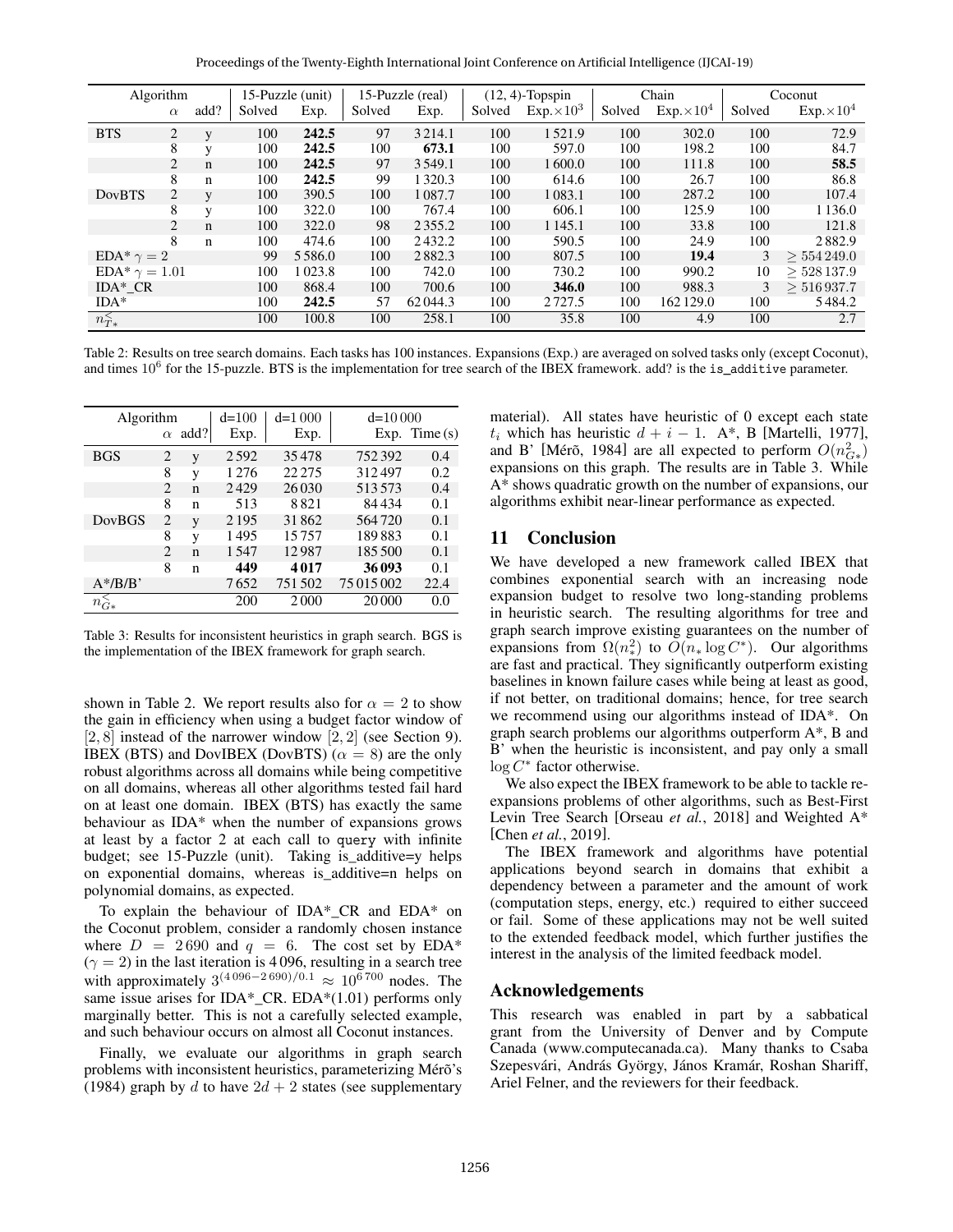Proceedings of the Twenty-Eighth International Joint Conference on Artificial Intelligence (IJCAI-19)

| Algorithm                     |                | 15-Puzzle (unit) |            | 15-Puzzle (real) |        | $(12, 4)$ -Topspin |        | Chain              |        | Coconut            |                |                    |
|-------------------------------|----------------|------------------|------------|------------------|--------|--------------------|--------|--------------------|--------|--------------------|----------------|--------------------|
|                               | $\alpha$       | add?             | Solved     | Exp.             | Solved | Exp.               | Solved | $Exp. \times 10^3$ | Solved | $Exp. \times 10^4$ | Solved         | $Exp. \times 10^4$ |
| <b>BTS</b>                    | $\overline{2}$ |                  | 100        | 242.5            | 97     | 3 2 1 4 .1         | 100    | 1521.9             | 100    | 302.0              | 100            | 72.9               |
|                               | 8              | $\mathbf{V}$     | 100        | 242.5            | 100    | 673.1              | 100    | 597.0              | 100    | 198.2              | 100            | 84.7               |
|                               | $\overline{2}$ | $\mathbf n$      | 100        | 242.5            | 97     | 3 5 4 9 .1         | 100    | 1600.0             | 100    | 111.8              | 100            | 58.5               |
|                               | 8              | $\mathbf n$      | 100        | 242.5            | 99     | 1 3 2 0 . 3        | 100    | 614.6              | 100    | 26.7               | 100            | 86.8               |
| <b>DovBTS</b>                 | 2              | $\mathbf{V}$     | 100        | 390.5            | 100    | 1087.7             | 100    | 1083.1             | 100    | 287.2              | 100            | 107.4              |
|                               | 8              | $\mathbf{V}$     | 100        | 322.0            | 100    | 767.4              | 100    | 606.1              | 100    | 125.9              | 100            | 1 1 3 6 .0         |
|                               | $\overline{2}$ | $\mathbf n$      | 100        | 322.0            | 98     | 2355.2             | 100    | 1 1 4 5 .1         | 100    | 33.8               | 100            | 121.8              |
|                               | 8              | $\mathbf n$      | 100        | 474.6            | 100    | 2432.2             | 100    | 590.5              | 100    | 24.9               | 100            | 2882.9             |
| EDA <sup>*</sup> $\gamma = 2$ |                | 99               | 5 5 8 6 .0 | 100              | 2882.3 | 100                | 807.5  | 100                | 19.4   | 3                  | $> 554\,249.0$ |                    |
| $EDA^* \gamma = 1.01$         |                |                  | 100        | 1023.8           | 100    | 742.0              | 100    | 730.2              | 100    | 990.2              | 10             | $>$ 528 137.9      |
| $IDA*CR$                      |                |                  | 100        | 868.4            | 100    | 700.6              | 100    | 346.0              | 100    | 988.3              | 3              | >516937.7          |
| $IDA*$                        |                |                  | 100        | 242.5            | 57     | 62044.3            | 100    | 2727.5             | 100    | 162 129.0          | 100            | 5484.2             |
| $n_{T*}^<$                    |                |                  | 100        | 100.8            | 100    | 258.1              | 100    | 35.8               | 100    | 4.9                | 100            | 2.7                |

Table 2: Results on tree search domains. Each tasks has 100 instances. Expansions (Exp.) are averaged on solved tasks only (except Coconut), and times  $10^6$  for the 15-puzzle. BTS is the implementation for tree search of the IBEX framework. add? is the is\_additive parameter.

| Algorithm      |                |      | $d=100$ | $d=1000$ | $d=10000$  |                 |
|----------------|----------------|------|---------|----------|------------|-----------------|
|                | $\alpha$       | add? | Exp.    | Exp.     |            | Exp. Time $(s)$ |
| <b>BGS</b>     | 2              | y    | 2592    | 35478    | 752392     | 0.4             |
|                | 8              | V    | 1 2 7 6 | 22 2 7 5 | 312497     | 0.2             |
|                | $\overline{c}$ | n    | 2429    | 26 0 30  | 513573     | 0.4             |
|                | 8              | n    | 513     | 8821     | 84434      | 0.1             |
| <b>DovBGS</b>  | $\overline{2}$ | V    | 2 1 9 5 | 31862    | 564720     | 0.1             |
|                | 8              | V    | 1495    | 15757    | 189883     | 0.1             |
|                | $\mathfrak{D}$ | n    | 1547    | 12987    | 185 500    | 0.1             |
|                | 8              | n    | 449     | 4017     | 36093      | 0.1             |
| $A^*/B/B'$     |                |      | 7652    | 751502   | 75 015 002 | 22.4            |
| $n_{\dot{G}*}$ |                |      | 200     | 2000     | 20 000     | 0.0             |

Table 3: Results for inconsistent heuristics in graph search. BGS is the implementation of the IBEX framework for graph search.

shown in Table 2. We report results also for  $\alpha = 2$  to show the gain in efficiency when using a budget factor window of  $[2, 8]$  instead of the narrower window  $[2, 2]$  (see Section 9). IBEX (BTS) and DovIBEX (DovBTS) ( $\alpha = 8$ ) are the only robust algorithms across all domains while being competitive on all domains, whereas all other algorithms tested fail hard on at least one domain. IBEX (BTS) has exactly the same behaviour as IDA\* when the number of expansions grows at least by a factor 2 at each call to query with infinite budget; see 15-Puzzle (unit). Taking is\_additive=y helps on exponential domains, whereas is\_additive=n helps on polynomial domains, as expected.

To explain the behaviour of IDA\* CR and EDA\* on the Coconut problem, consider a randomly chosen instance where  $D = 2690$  and  $q = 6$ . The cost set by EDA\*  $(\gamma = 2)$  in the last iteration is 4096, resulting in a search tree with approximately  $3^{(4096-2690)/0.1} \approx 10^{6700}$  nodes. The same issue arises for IDA\*\_CR. EDA\*(1.01) performs only marginally better. This is not a carefully selected example, and such behaviour occurs on almost all Coconut instances.

Finally, we evaluate our algorithms in graph search problems with inconsistent heuristics, parameterizing Mérõ's (1984) graph by d to have  $2d + 2$  states (see supplementary material). All states have heuristic of 0 except each state  $t_i$  which has heuristic  $d + i - 1$ . A\*, B [Martelli, 1977], and B' [Mérõ, 1984] are all expected to perform  $O(n_{G*}^2)$ expansions on this graph. The results are in Table 3. While A\* shows quadratic growth on the number of expansions, our algorithms exhibit near-linear performance as expected.

## 11 Conclusion

We have developed a new framework called IBEX that combines exponential search with an increasing node expansion budget to resolve two long-standing problems in heuristic search. The resulting algorithms for tree and graph search improve existing guarantees on the number of expansions from  $\Omega(n_{*}^{2})$  to  $\widetilde{O}(n_{*} \log C^{*})$ . Our algorithms are fast and practical. They significantly outperform existing baselines in known failure cases while being at least as good, if not better, on traditional domains; hence, for tree search we recommend using our algorithms instead of IDA\*. On graph search problems our algorithms outperform A\*, B and B' when the heuristic is inconsistent, and pay only a small  $log C^*$  factor otherwise.

We also expect the IBEX framework to be able to tackle reexpansions problems of other algorithms, such as Best-First Levin Tree Search [Orseau *et al.*, 2018] and Weighted A\* [Chen *et al.*, 2019].

The IBEX framework and algorithms have potential applications beyond search in domains that exhibit a dependency between a parameter and the amount of work (computation steps, energy, etc.) required to either succeed or fail. Some of these applications may not be well suited to the extended feedback model, which further justifies the interest in the analysis of the limited feedback model.

## Acknowledgements

This research was enabled in part by a sabbatical grant from the University of Denver and by Compute Canada (www.computecanada.ca). Many thanks to Csaba Szepesvári, András György, János Kramár, Roshan Shariff, Ariel Felner, and the reviewers for their feedback.